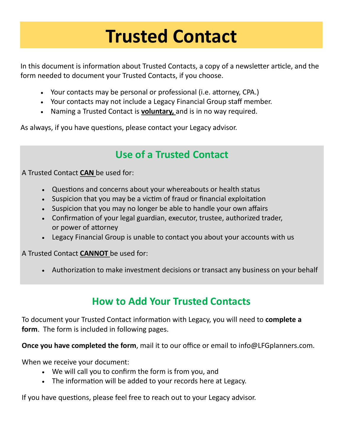# **Trusted Contact**

In this document is information about Trusted Contacts, a copy of a newsletter article, and the form needed to document your Trusted Contacts, if you choose.

- Your contacts may be personal or professional (i.e. attorney, CPA.)
- Your contacts may not include a Legacy Financial Group staff member.
- Naming a Trusted Contact is **voluntary,** and is in no way required.

As always, if you have questions, please contact your Legacy advisor.

## **Use of a Trusted Contact**

A Trusted Contact **CAN** be used for:

- Questions and concerns about your whereabouts or health status
- Suspicion that you may be a victim of fraud or financial exploitation
- Suspicion that you may no longer be able to handle your own affairs
- Confirmation of your legal guardian, executor, trustee, authorized trader, or power of attorney
- Legacy Financial Group is unable to contact you about your accounts with us

A Trusted Contact **CANNOT** be used for:

• Authorization to make investment decisions or transact any business on your behalf

### **How to Add Your Trusted Contacts**

To document your Trusted Contact information with Legacy, you will need to **complete a form**. The form is included in following pages.

**Once you have completed the form**, mail it to our office or email to info@LFGplanners.com.

When we receive your document:

- We will call you to confirm the form is from you, and
- The information will be added to your records here at Legacy.

If you have questions, please feel free to reach out to your Legacy advisor.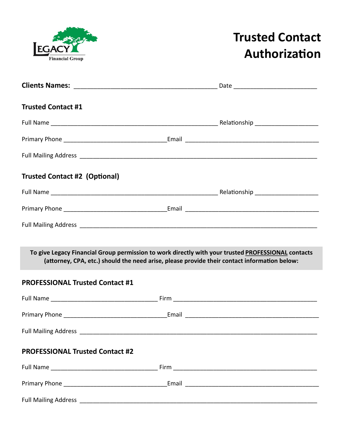

# **Trusted Contact Authorization**

| <b>Trusted Contact #1</b>              |                                                                                                                                                                                                    |
|----------------------------------------|----------------------------------------------------------------------------------------------------------------------------------------------------------------------------------------------------|
|                                        |                                                                                                                                                                                                    |
|                                        |                                                                                                                                                                                                    |
|                                        |                                                                                                                                                                                                    |
| <b>Trusted Contact #2 (Optional)</b>   |                                                                                                                                                                                                    |
|                                        |                                                                                                                                                                                                    |
|                                        |                                                                                                                                                                                                    |
|                                        |                                                                                                                                                                                                    |
|                                        |                                                                                                                                                                                                    |
|                                        | To give Legacy Financial Group permission to work directly with your trusted PROFESSIONAL contacts<br>(attorney, CPA, etc.) should the need arise, please provide their contact information below: |
| <b>PROFESSIONAL Trusted Contact #1</b> |                                                                                                                                                                                                    |
|                                        |                                                                                                                                                                                                    |
|                                        |                                                                                                                                                                                                    |
| <b>Full Mailing Address</b>            |                                                                                                                                                                                                    |
| <b>PROFESSIONAL Trusted Contact #2</b> |                                                                                                                                                                                                    |
|                                        |                                                                                                                                                                                                    |
|                                        |                                                                                                                                                                                                    |
|                                        |                                                                                                                                                                                                    |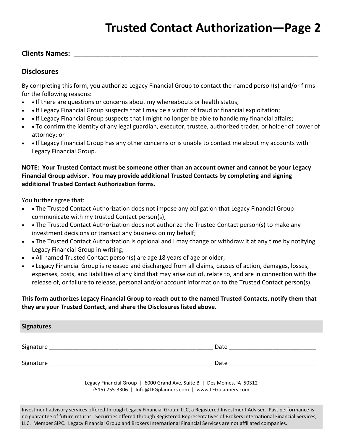# **Trusted Contact Authorization—Page 2**

#### **Clients Names:** \_\_\_\_\_\_\_\_\_\_\_\_\_\_\_\_\_\_\_\_\_\_\_\_\_\_\_\_\_\_\_\_\_\_\_\_\_\_\_\_\_\_\_\_\_\_\_\_\_\_\_\_\_\_\_\_\_\_\_\_\_\_\_\_\_\_\_\_\_\_\_\_\_

#### **Disclosures**

By completing this form, you authorize Legacy Financial Group to contact the named person(s) and/or firms for the following reasons:

- • If there are questions or concerns about my whereabouts or health status;
- • If Legacy Financial Group suspects that I may be a victim of fraud or financial exploitation;
- If Legacy Financial Group suspects that I might no longer be able to handle my financial affairs;
- • To confirm the identity of any legal guardian, executor, trustee, authorized trader, or holder of power of attorney; or
- • If Legacy Financial Group has any other concerns or is unable to contact me about my accounts with Legacy Financial Group.

#### **NOTE: Your Trusted Contact must be someone other than an account owner and cannot be your Legacy Financial Group advisor. You may provide additional Trusted Contacts by completing and signing additional Trusted Contact Authorization forms.**

You further agree that:

- • The Trusted Contact Authorization does not impose any obligation that Legacy Financial Group communicate with my trusted Contact person(s);
- • The Trusted Contact Authorization does not authorize the Trusted Contact person(s) to make any investment decisions or transact any business on my behalf;
- • The Trusted Contact Authorization is optional and I may change or withdraw it at any time by notifying Legacy Financial Group in writing;
- • All named Trusted Contact person(s) are age 18 years of age or older;
- • Legacy Financial Group is released and discharged from all claims, causes of action, damages, losses, expenses, costs, and liabilities of any kind that may arise out of, relate to, and are in connection with the release of, or failure to release, personal and/or account information to the Trusted Contact person(s).

#### **This form authorizes Legacy Financial Group to reach out to the named Trusted Contacts, notify them that they are your Trusted Contact, and share the Disclosures listed above.**

| <b>Signatures</b> |      |
|-------------------|------|
|                   |      |
| Signature         | Date |
| Signature         | Date |

Legacy Financial Group | 6000 Grand Ave, Suite B | Des Moines, IA 50312 (515) 255-3306 | Info@LFGplanners.com | www.LFGplanners.com

Investment advisory services offered through Legacy Financial Group, LLC, a Registered Investment Adviser. Past performance is no guarantee of future returns. Securities offered through Registered Representatives of Brokers International Financial Services, LLC. Member SIPC. Legacy Financial Group and Brokers International Financial Services are not affiliated companies.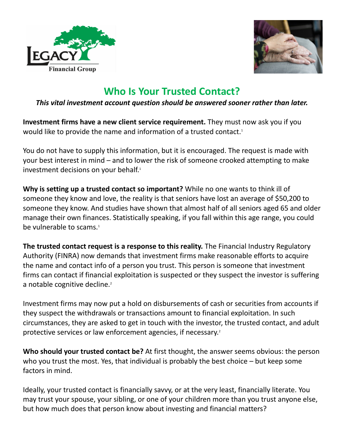



### **Who Is Your Trusted Contact?**

#### *This vital investment account question should be answered sooner rather than later.*

**Investment firms have a new client service requirement.** They must now ask you if you would like to provide the name and information of a trusted contact.<sup>1</sup>

You do not have to supply this information, but it is encouraged. The request is made with your best interest in mind – and to lower the risk of someone crooked attempting to make investment decisions on your behalf.<sup>1</sup>

**Why is setting up a trusted contact so important?** While no one wants to think ill of someone they know and love, the reality is that seniors have lost an average of \$50,200 to someone they know. And studies have shown that almost half of all seniors aged 65 and older manage their own finances. Statistically speaking, if you fall within this age range, you could be vulnerable to scams.<sup>1</sup>

**The trusted contact request is a response to this reality.** The Financial Industry Regulatory Authority (FINRA) now demands that investment firms make reasonable efforts to acquire the name and contact info of a person you trust. This person is someone that investment firms can contact if financial exploitation is suspected or they suspect the investor is suffering a notable cognitive decline.<sup>2</sup>

Investment firms may now put a hold on disbursements of cash or securities from accounts if they suspect the withdrawals or transactions amount to financial exploitation. In such circumstances, they are asked to get in touch with the investor, the trusted contact, and adult protective services or law enforcement agencies, if necessary.<sup>2</sup>

**Who should your trusted contact be?** At first thought, the answer seems obvious: the person who you trust the most. Yes, that individual is probably the best choice – but keep some factors in mind.

Ideally, your trusted contact is financially savvy, or at the very least, financially literate. You may trust your spouse, your sibling, or one of your children more than you trust anyone else, but how much does that person know about investing and financial matters?